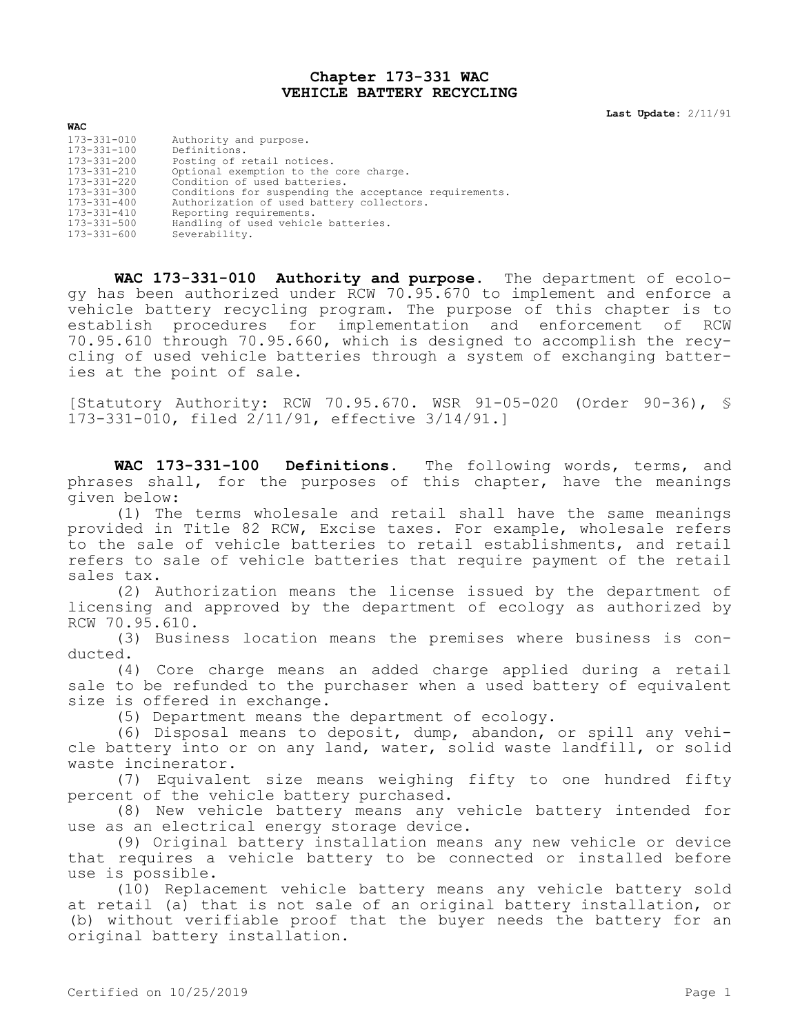## **Chapter 173-331 WAC VEHICLE BATTERY RECYCLING**

**Last Update:** 2/11/91

| <b>WAC</b>  |                                                        |
|-------------|--------------------------------------------------------|
| 173-331-010 | Authority and purpose.                                 |
| 173-331-100 | Definitions.                                           |
| 173-331-200 | Posting of retail notices.                             |
| 173-331-210 | Optional exemption to the core charge.                 |
| 173-331-220 | Condition of used batteries.                           |
| 173-331-300 | Conditions for suspending the acceptance requirements. |
| 173-331-400 | Authorization of used battery collectors.              |
| 173-331-410 | Reporting requirements.                                |
| 173-331-500 | Handling of used vehicle batteries.                    |
| 173-331-600 | Severability.                                          |

**WAC 173-331-010 Authority and purpose.** The department of ecology has been authorized under RCW 70.95.670 to implement and enforce a vehicle battery recycling program. The purpose of this chapter is to establish procedures for implementation and enforcement of RCW 70.95.610 through 70.95.660, which is designed to accomplish the recycling of used vehicle batteries through a system of exchanging batteries at the point of sale.

[Statutory Authority: RCW 70.95.670. WSR 91-05-020 (Order 90-36), § 173-331-010, filed 2/11/91, effective 3/14/91.]

**WAC 173-331-100 Definitions.** The following words, terms, and phrases shall, for the purposes of this chapter, have the meanings given below:

(1) The terms wholesale and retail shall have the same meanings provided in Title 82 RCW, Excise taxes. For example, wholesale refers to the sale of vehicle batteries to retail establishments, and retail refers to sale of vehicle batteries that require payment of the retail sales tax.

(2) Authorization means the license issued by the department of licensing and approved by the department of ecology as authorized by RCW 70.95.610.

(3) Business location means the premises where business is conducted.

(4) Core charge means an added charge applied during a retail sale to be refunded to the purchaser when a used battery of equivalent size is offered in exchange.

(5) Department means the department of ecology.

(6) Disposal means to deposit, dump, abandon, or spill any vehicle battery into or on any land, water, solid waste landfill, or solid waste incinerator.

(7) Equivalent size means weighing fifty to one hundred fifty percent of the vehicle battery purchased.

(8) New vehicle battery means any vehicle battery intended for use as an electrical energy storage device.

(9) Original battery installation means any new vehicle or device that requires a vehicle battery to be connected or installed before use is possible.

(10) Replacement vehicle battery means any vehicle battery sold at retail (a) that is not sale of an original battery installation, or (b) without verifiable proof that the buyer needs the battery for an original battery installation.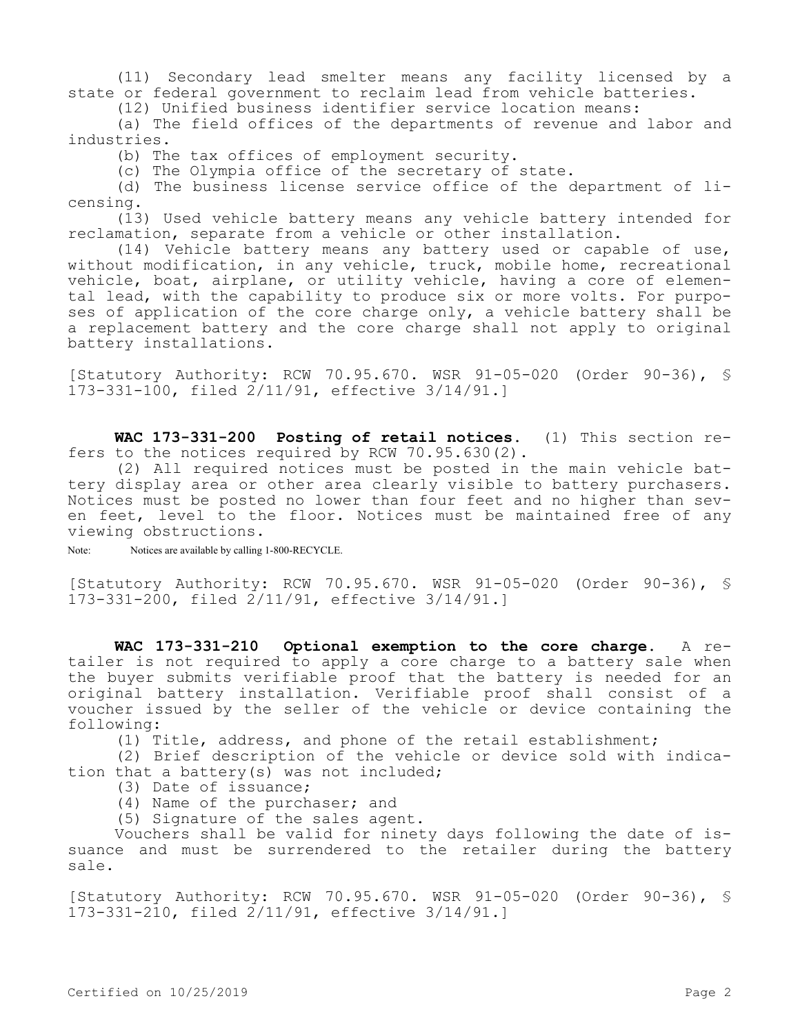(11) Secondary lead smelter means any facility licensed by a state or federal government to reclaim lead from vehicle batteries.

(12) Unified business identifier service location means:

(a) The field offices of the departments of revenue and labor and industries.

(b) The tax offices of employment security.

(c) The Olympia office of the secretary of state.

(d) The business license service office of the department of licensing.

(13) Used vehicle battery means any vehicle battery intended for reclamation, separate from a vehicle or other installation.

(14) Vehicle battery means any battery used or capable of use, without modification, in any vehicle, truck, mobile home, recreational vehicle, boat, airplane, or utility vehicle, having a core of elemental lead, with the capability to produce six or more volts. For purposes of application of the core charge only, a vehicle battery shall be a replacement battery and the core charge shall not apply to original battery installations.

[Statutory Authority: RCW 70.95.670. WSR 91-05-020 (Order 90-36), § 173-331-100, filed 2/11/91, effective 3/14/91.]

**WAC 173-331-200 Posting of retail notices.** (1) This section refers to the notices required by RCW 70.95.630(2).

(2) All required notices must be posted in the main vehicle battery display area or other area clearly visible to battery purchasers. Notices must be posted no lower than four feet and no higher than seven feet, level to the floor. Notices must be maintained free of any viewing obstructions.

Note: Notices are available by calling 1-800-RECYCLE.

[Statutory Authority: RCW 70.95.670. WSR 91-05-020 (Order 90-36), § 173-331-200, filed 2/11/91, effective 3/14/91.]

**WAC 173-331-210 Optional exemption to the core charge.** A retailer is not required to apply a core charge to a battery sale when the buyer submits verifiable proof that the battery is needed for an original battery installation. Verifiable proof shall consist of a voucher issued by the seller of the vehicle or device containing the following:

(1) Title, address, and phone of the retail establishment;

(2) Brief description of the vehicle or device sold with indication that a battery(s) was not included;

- (3) Date of issuance;
- (4) Name of the purchaser; and
- (5) Signature of the sales agent.

Vouchers shall be valid for ninety days following the date of issuance and must be surrendered to the retailer during the battery sale.

[Statutory Authority: RCW 70.95.670. WSR 91-05-020 (Order 90-36), § 173-331-210, filed 2/11/91, effective 3/14/91.]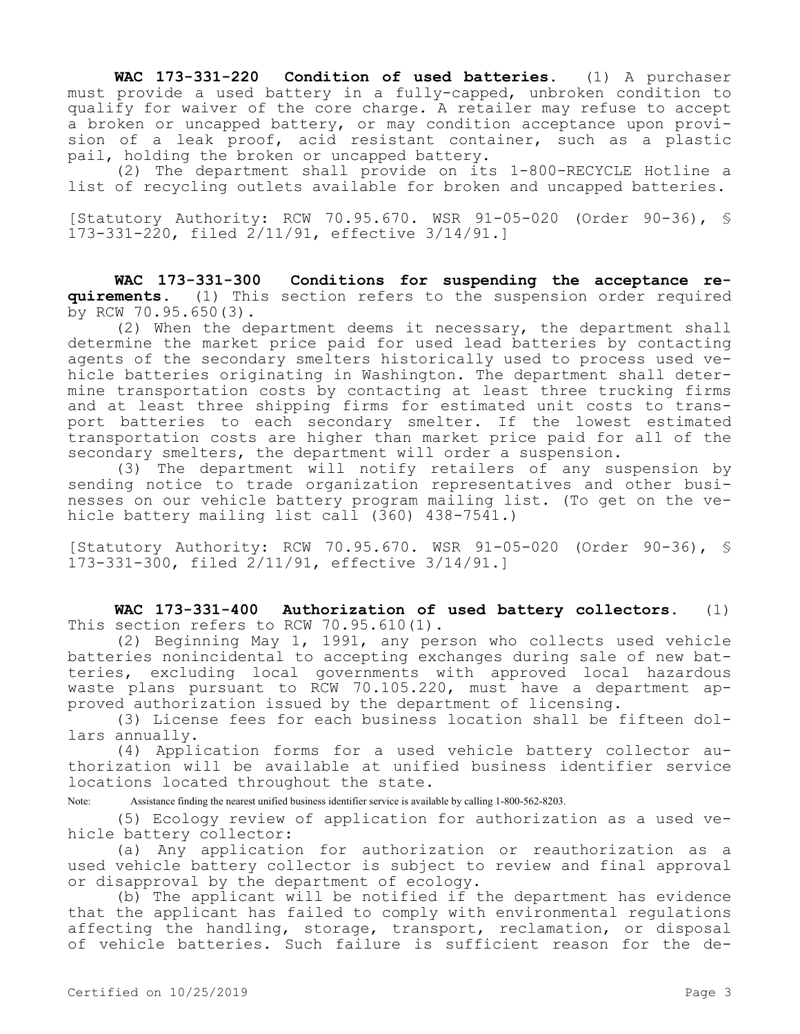**WAC 173-331-220 Condition of used batteries.** (1) A purchaser must provide a used battery in a fully-capped, unbroken condition to qualify for waiver of the core charge. A retailer may refuse to accept a broken or uncapped battery, or may condition acceptance upon provision of a leak proof, acid resistant container, such as a plastic pail, holding the broken or uncapped battery.

(2) The department shall provide on its 1-800-RECYCLE Hotline a list of recycling outlets available for broken and uncapped batteries.

[Statutory Authority: RCW 70.95.670. WSR 91-05-020 (Order 90-36), § 173-331-220, filed 2/11/91, effective 3/14/91.]

**WAC 173-331-300 Conditions for suspending the acceptance requirements.** (1) This section refers to the suspension order required by RCW 70.95.650(3).

(2) When the department deems it necessary, the department shall determine the market price paid for used lead batteries by contacting agents of the secondary smelters historically used to process used vehicle batteries originating in Washington. The department shall determine transportation costs by contacting at least three trucking firms and at least three shipping firms for estimated unit costs to transport batteries to each secondary smelter. If the lowest estimated transportation costs are higher than market price paid for all of the secondary smelters, the department will order a suspension.

(3) The department will notify retailers of any suspension by sending notice to trade organization representatives and other businesses on our vehicle battery program mailing list. (To get on the vehicle battery mailing list call (360) 438-7541.)

[Statutory Authority: RCW 70.95.670. WSR 91-05-020 (Order 90-36), § 173-331-300, filed 2/11/91, effective 3/14/91.]

**WAC 173-331-400 Authorization of used battery collectors.** (1) This section refers to RCW 70.95.610(1).

(2) Beginning May 1, 1991, any person who collects used vehicle batteries nonincidental to accepting exchanges during sale of new batteries, excluding local governments with approved local hazardous waste plans pursuant to RCW 70.105.220, must have a department approved authorization issued by the department of licensing.

(3) License fees for each business location shall be fifteen dollars annually.

(4) Application forms for a used vehicle battery collector authorization will be available at unified business identifier service locations located throughout the state.

Note: Assistance finding the nearest unified business identifier service is available by calling 1-800-562-8203.

(5) Ecology review of application for authorization as a used vehicle battery collector:

(a) Any application for authorization or reauthorization as a used vehicle battery collector is subject to review and final approval or disapproval by the department of ecology.

(b) The applicant will be notified if the department has evidence that the applicant has failed to comply with environmental regulations affecting the handling, storage, transport, reclamation, or disposal of vehicle batteries. Such failure is sufficient reason for the de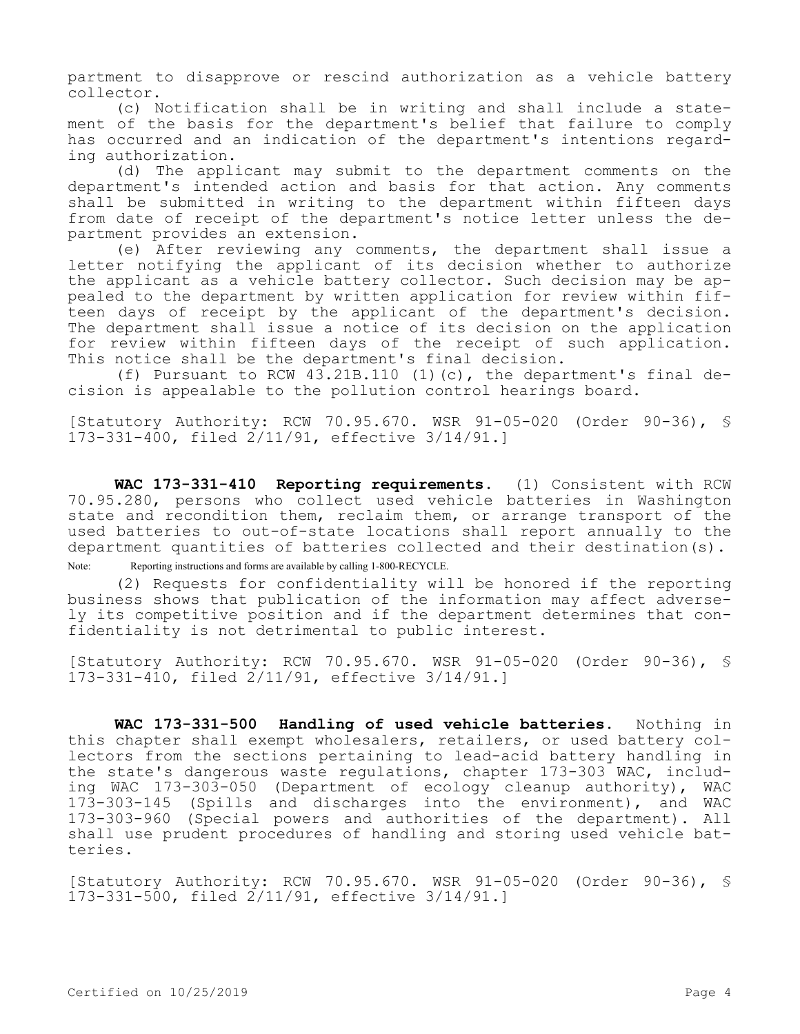partment to disapprove or rescind authorization as a vehicle battery collector.

(c) Notification shall be in writing and shall include a statement of the basis for the department's belief that failure to comply has occurred and an indication of the department's intentions regarding authorization.

(d) The applicant may submit to the department comments on the department's intended action and basis for that action. Any comments shall be submitted in writing to the department within fifteen days from date of receipt of the department's notice letter unless the department provides an extension.

(e) After reviewing any comments, the department shall issue a letter notifying the applicant of its decision whether to authorize the applicant as a vehicle battery collector. Such decision may be appealed to the department by written application for review within fifteen days of receipt by the applicant of the department's decision. The department shall issue a notice of its decision on the application for review within fifteen days of the receipt of such application. This notice shall be the department's final decision.

(f) Pursuant to RCW  $43.21B.110$  (1)(c), the department's final decision is appealable to the pollution control hearings board.

[Statutory Authority: RCW 70.95.670. WSR 91-05-020 (Order 90-36), § 173-331-400, filed 2/11/91, effective 3/14/91.]

**WAC 173-331-410 Reporting requirements.** (1) Consistent with RCW 70.95.280, persons who collect used vehicle batteries in Washington state and recondition them, reclaim them, or arrange transport of the used batteries to out-of-state locations shall report annually to the department quantities of batteries collected and their destination(s). Note: Reporting instructions and forms are available by calling 1-800-RECYCLE.

(2) Requests for confidentiality will be honored if the reporting business shows that publication of the information may affect adversely its competitive position and if the department determines that confidentiality is not detrimental to public interest.

[Statutory Authority: RCW 70.95.670. WSR 91-05-020 (Order 90-36), § 173-331-410, filed 2/11/91, effective 3/14/91.]

**WAC 173-331-500 Handling of used vehicle batteries.** Nothing in this chapter shall exempt wholesalers, retailers, or used battery collectors from the sections pertaining to lead-acid battery handling in the state's dangerous waste regulations, chapter 173-303 WAC, including WAC 173-303-050 (Department of ecology cleanup authority), WAC 173-303-145 (Spills and discharges into the environment), and WAC 173-303-960 (Special powers and authorities of the department). All shall use prudent procedures of handling and storing used vehicle batteries.

[Statutory Authority: RCW 70.95.670. WSR 91-05-020 (Order 90-36), § 173-331-500, filed 2/11/91, effective 3/14/91.]